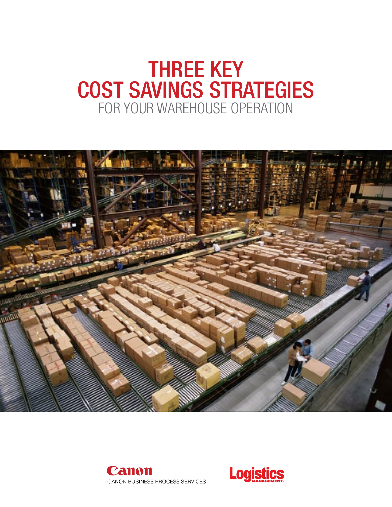# FOR YOUR WAREHOUSE OPERATION THREE KEY COST SAVINGS STRATEGIES





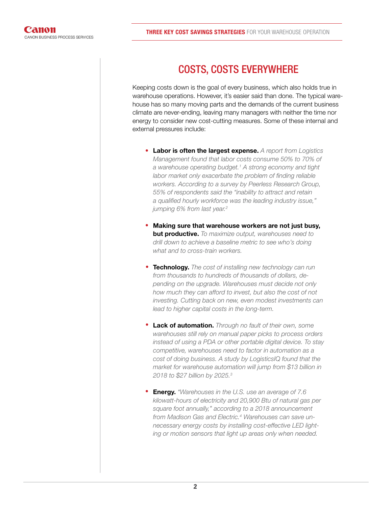### COSTS, COSTS EVERYWHERE

Keeping costs down is the goal of every business, which also holds true in warehouse operations. However, it's easier said than done. The typical warehouse has so many moving parts and the demands of the current business climate are never-ending, leaving many managers with neither the time nor energy to consider new cost-cutting measures. Some of these internal and external pressures include:

- Labor is often the largest expense. *A report from Logistics Management found that labor costs consume 50% to 70% of a warehouse operating budget.1 A strong economy and tight labor market only exacerbate the problem of finding reliable workers. According to a survey by Peerless Research Group, 55% of respondents said the "inability to attract and retain a qualified hourly workforce was the leading industry issue," jumping 6% from last year.2*
- Making sure that warehouse workers are not just busy, but productive. *To maximize output, warehouses need to drill down to achieve a baseline metric to see who's doing what and to cross-train workers.*
- Technology. *The cost of installing new technology can run from thousands to hundreds of thousands of dollars, depending on the upgrade. Warehouses must decide not only how much they can afford to invest, but also the cost of not investing. Cutting back on new, even modest investments can lead to higher capital costs in the long-term.*
- Lack of automation. *Through no fault of their own, some warehouses still rely on manual paper picks to process orders instead of using a PDA or other portable digital device. To stay competitive, warehouses need to factor in automation as a cost of doing business. A study by LogisticsIQ found that the market for warehouse automation will jump from \$13 billion in 2018 to \$27 billion by 2025.3*  •
- Energy. *"Warehouses in the U.S. use an average of 7.6 kilowatt-hours of electricity and 20,900 Btu of natural gas per square foot annually," according to a 2018 announcement from Madison Gas and Electric.4 Warehouses can save unnecessary energy costs by installing cost-effective LED lighting or motion sensors that light up areas only when needed.*  •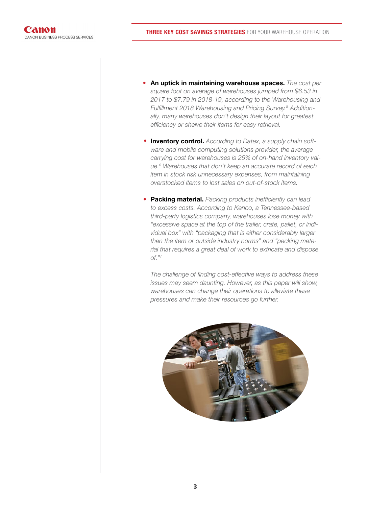- An uptick in maintaining warehouse spaces. *The cost per square foot on average of warehouses jumped from \$6.53 in 2017 to \$7.79 in 2018-19, according to the Warehousing and Fulfillment 2018 Warehousing and Pricing Survey.5 Additionally, many warehouses don't design their layout for greatest efficiency or shelve their items for easy retrieval.*
- Inventory control. *According to Datex, a supply chain software and mobile computing solutions provider, the average carrying cost for warehouses is 25% of on-hand inventory value.6 Warehouses that don't keep an accurate record of each item in stock risk unnecessary expenses, from maintaining overstocked items to lost sales on out-of-stock items.*
- Packing material. *Packing products inefficiently can lead to excess costs. According to Kenco, a Tennessee-based third-party logistics company, warehouses lose money with "excessive space at the top of the trailer, crate, pallet, or individual box" with "packaging that is either considerably larger than the item or outside industry norms" and "packing material that requires a great deal of work to extricate and dispose of."7*

*The challenge of finding cost-effective ways to address these issues may seem daunting. However, as this paper will show, warehouses can change their operations to alleviate these pressures and make their resources go further.* 

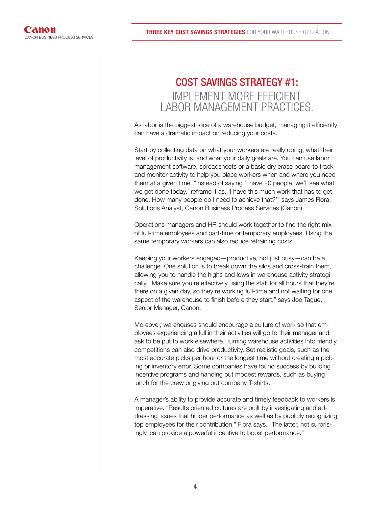## IMPLEMENT MORE EFFICIENT LABOR MANAGEMENT PRACTICES. COST SAVINGS STRATEGY #1:

As labor is the biggest slice of a warehouse budget, managing it efficiently can have a dramatic impact on reducing your costs.

Start by collecting data on what your workers are really doing, what their level of productivity is, and what your daily goals are. You can use labor management software, spreadsheets or a basic dry erase board to track and monitor activity to help you place workers when and where you need them at a given time. "Instead of saying 'I have 20 people, we'll see what we get done today,' reframe it as, 'I have this much work that has to get done. How many people do I need to achieve that?'" says James Flora, Solutions Analyst, Canon Business Process Services (Canon).

Operations managers and HR should work together to find the right mix of full-time employees and part-time or temporary employees. Using the same temporary workers can also reduce retraining costs.

Keeping your workers engaged—productive, not just busy—can be a challenge. One solution is to break down the silos and cross-train them, allowing you to handle the highs and lows in warehouse activity strategically. "Make sure you're effectively using the staff for all hours that they're there on a given day, so they're working full-time and not waiting for one aspect of the warehouse to finish before they start," says Joe Tague, Senior Manager, Canon.

Moreover, warehouses should encourage a culture of work so that employees experiencing a lull in their activities will go to their manager and ask to be put to work elsewhere. Turning warehouse activities into friendly competitions can also drive productivity. Set realistic goals, such as the most accurate picks per hour or the longest time without creating a picking or inventory error. Some companies have found success by building incentive programs and handing out modest rewards, such as buying lunch for the crew or giving out company T-shirts.

A manager's ability to provide accurate and timely feedback to workers is imperative. "Results oriented cultures are built by investigating and addressing issues that hinder performance as well as by publicly recognizing top employees for their contribution," Flora says. "The latter, not surprisingly, can provide a powerful incentive to boost performance."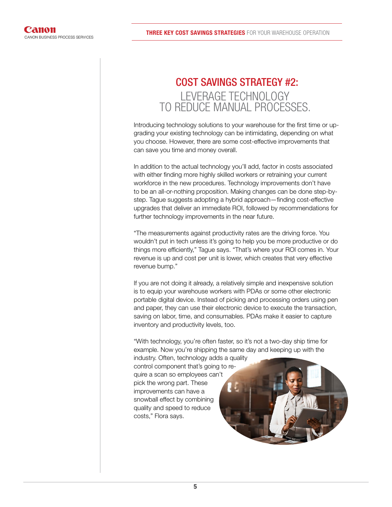# LEVERAGE TECHNOLOGY TO REDUCE MANUAL PROCESSES. COST SAVINGS STRATEGY #2:

Introducing technology solutions to your warehouse for the first time or upgrading your existing technology can be intimidating, depending on what you choose. However, there are some cost-effective improvements that can save you time and money overall.

In addition to the actual technology you'll add, factor in costs associated with either finding more highly skilled workers or retraining your current workforce in the new procedures. Technology improvements don't have to be an all-or-nothing proposition. Making changes can be done step-bystep. Tague suggests adopting a hybrid approach—finding cost-effective upgrades that deliver an immediate ROI, followed by recommendations for further technology improvements in the near future.

"The measurements against productivity rates are the driving force. You wouldn't put in tech unless it's going to help you be more productive or do things more efficiently," Tague says. "That's where your ROI comes in. Your revenue is up and cost per unit is lower, which creates that very effective revenue bump."

If you are not doing it already, a relatively simple and inexpensive solution is to equip your warehouse workers with PDAs or some other electronic portable digital device. Instead of picking and processing orders using pen and paper, they can use their electronic device to execute the transaction, saving on labor, time, and consumables. PDAs make it easier to capture inventory and productivity levels, too.

"With technology, you're often faster, so it's not a two-day ship time for example. Now you're shipping the same day and keeping up with the

industry. Often, technology adds a quality control component that's going to require a scan so employees can't pick the wrong part. These improvements can have a snowball effect by combining quality and speed to reduce costs," Flora says.

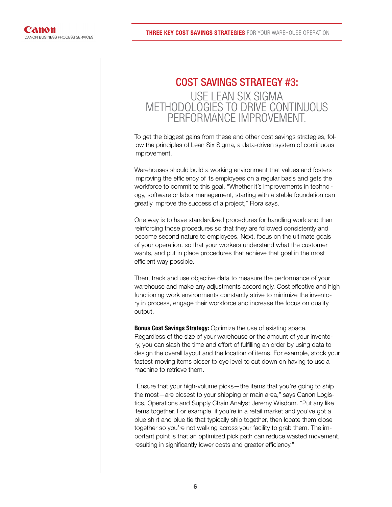### USE LEAN SIX SIGMA METHODOLOGIES TO DRIVE CONTINUOUS PERFORMANCE IMPROVEMENT. COST SAVINGS STRATEGY #3:

To get the biggest gains from these and other cost savings strategies, follow the principles of Lean Six Sigma, a data-driven system of continuous improvement.

Warehouses should build a working environment that values and fosters improving the efficiency of its employees on a regular basis and gets the workforce to commit to this goal. "Whether it's improvements in technology, software or labor management, starting with a stable foundation can greatly improve the success of a project," Flora says.

One way is to have standardized procedures for handling work and then reinforcing those procedures so that they are followed consistently and become second nature to employees. Next, focus on the ultimate goals of your operation, so that your workers understand what the customer wants, and put in place procedures that achieve that goal in the most efficient way possible.

Then, track and use objective data to measure the performance of your warehouse and make any adjustments accordingly. Cost effective and high functioning work environments constantly strive to minimize the inventory in process, engage their workforce and increase the focus on quality output.

**Bonus Cost Savings Strategy:** Optimize the use of existing space. Regardless of the size of your warehouse or the amount of your inventory, you can slash the time and effort of fulfilling an order by using data to design the overall layout and the location of items. For example, stock your fastest-moving items closer to eye level to cut down on having to use a machine to retrieve them.

"Ensure that your high-volume picks—the items that you're going to ship the most—are closest to your shipping or main area," says Canon Logistics, Operations and Supply Chain Analyst Jeremy Wisdom. "Put any like items together. For example, if you're in a retail market and you've got a blue shirt and blue tie that typically ship together, then locate them close together so you're not walking across your facility to grab them. The important point is that an optimized pick path can reduce wasted movement, resulting in significantly lower costs and greater efficiency."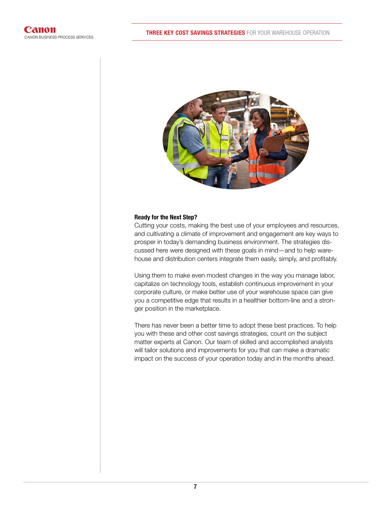

#### Ready for the Next Step?

Cutting your costs, making the best use of your employees and resources, and cultivating a climate of improvement and engagement are key ways to prosper in today's demanding business environment. The strategies discussed here were designed with these goals in mind—and to help warehouse and distribution centers integrate them easily, simply, and profitably.

Using them to make even modest changes in the way you manage labor, capitalize on technology tools, establish continuous improvement in your corporate culture, or make better use of your warehouse space can give you a competitive edge that results in a healthier bottom-line and a stronger position in the marketplace.

There has never been a better time to adopt these best practices. To help you with these and other cost savings strategies, count on the subject matter experts at Canon. Our team of skilled and accomplished analysts will tailor solutions and improvements for you that can make a dramatic impact on the success of your operation today and in the months ahead.